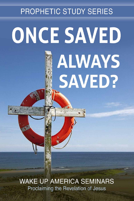# **PROPHETIC STUDY SERIES ONCE SAVED ALWAYS** SAVED?

**WAKE UP AMERICA SEMINARS** Proclaiming the Revelation of Jesus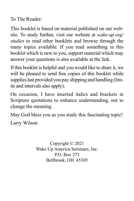To The Reader:

This booklet is based on material published on our website. To study further, visit our website at *wake-up.org/ studies* to read other booklets and browse through the many topics available. If you read something in this booklet which is new to you, support material which may answer your questions is also available at the link.

If this booklet is helpful and you would like to share it, we will be pleased to send free copies of this booklet while supplies last provided you pay shipping and handling (limits and intervals also apply).

On occasion, I have inserted italics and brackets in Scripture quotations to enhance understanding, not to change the meaning.

May God bless you as you study this fascinating topic!

Larry Wilson

Copyright © 2021 Wake Up America Seminars, Inc. P.O. Box 273 Bellbrook, OH 45305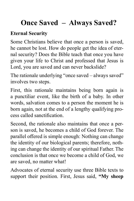## **Once Saved – Always Saved?**

### **Eternal Security**

Some Christians believe that once a person is saved, he cannot be lost. How do people get the idea of eternal security? Does the Bible teach that once you have given your life to Christ and professed that Jesus is Lord, you are saved and can never backslide?

The rationale underlying "once saved – always saved" involves two steps.

First, this rationale maintains being born again is a punctiliar event, like the birth of a baby. In other words, salvation comes to a person the moment he is born again, not at the end of a lengthy qualifying process called sanctification.

Second, the rationale also maintains that once a person is saved, he becomes a child of God forever. The parallel offered is simple enough: Nothing can change the identity of our biological parents; therefore, nothing can change the identity of our spiritual Father. The conclusion is that once we become a child of God, we are saved, no matter what!

Advocates of eternal security use three Bible texts to support their position. First, Jesus said, **"My sheep**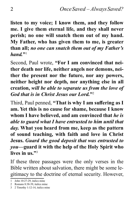**listen to my voice; I know them, and they follow me. I give them eternal life, and they shall never perish; no one will snatch them out of my hand. My Father, who has given them to me, is greater than all;** *no one can snatch them out of my Father's hand.***"**<sup>1</sup>

Second, Paul wrote, **"For I am convinced that neither death nor life, neither angels nor demons, neither the present nor the future, nor any powers, neither height nor depth, nor anything else in all creation,** *will be able to separate us from the love of God that is in Christ Jesus our Lord.***"**<sup>2</sup>

Third, Paul penned, **"That is why I am suffering as I am. Yet this is no cause for shame, because I know whom I have believed, and am convinced that** *he is able to guard what I have entrusted to him until that day.* **What you heard from me, keep as the pattern of sound teaching, with faith and love in Christ Jesus.** *Guard the good deposit that was entrusted to you***—guard it with the help of the Holy Spirit who lives in us."**<sup>3</sup>

If these three passages were the only verses in the Bible written about salvation, there might be some legitimacy to the doctrine of eternal security. However,

<sup>1</sup> John  $10:27-29$  italics mine

<sup>2</sup> Romans 8:38-39, italics mine

<sup>3</sup> 2 Timothy 1:12-14, italics mine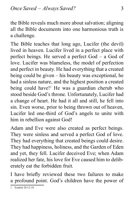the Bible reveals much more about salvation; aligning all the Bible documents into one harmonious truth is a challenge.

The Bible teaches that long ago, Lucifer (the devil) lived in heaven. Lucifer lived in a perfect place with perfect beings. He served a perfect God – a God of love. Lucifer was blameless, the model of perfection and perfect in beauty. He had everything that a created being could be given – his beauty was exceptional, he had a sinless nature, and the highest position a created being could have!<sup>1</sup> He was a guardian cherub who stood beside God's throne. Unfortunately, Lucifer had a change of heart. He had it all and still, he fell into sin. Even worse, prior to being thrown out of heaven, Lucifer led one-third of God's angels to unite with him in rebellion against God!

Adam and Eve were also created as perfect beings. They were sinless and served a perfect God of love. They had everything that created beings could desire. They had happiness, holiness, and the Garden of Eden and yet, they fell. Lucifer deceived Eve; when Adam realized her fate, his love for Eve caused him to deliberately eat the forbidden fruit.

I have briefly reviewed these two failures to make a profound point. God's children have the power of

<sup>1</sup> Ezekiel 28:12-18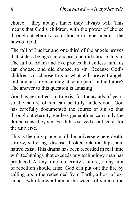choice – they always have; they always will. This means that God's children, with the power of choice throughout eternity, can choose to rebel against the laws of God.

The fall of Lucifer and one-third of the angels proves that sinless beings can choose, and did choose, to sin. The fall of Adam and Eve proves that sinless humans can choose, and did choose, to sin. Because God's children can choose to sin, what will prevent angels and humans from sinning at some point in the future? The answer to this question is amazing!

God has permitted sin to exist for thousands of years so the nature of sin can be fully understood. God has carefully documented the course of sin so that throughout eternity, endless generations can study the drama caused by sin. Earth has served as a theater for the universe.

This is the only place in all the universe where death, sorrow, suffering, disease, broken relationships, and hatred exist. This drama has been recorded in real time with technology that exceeds any technology man has produced. At any time in eternity's future, if any hint of rebellion should arise, God can put out the fire by calling upon the redeemed from Earth, a host of exsinners who know all about the wages of sin and the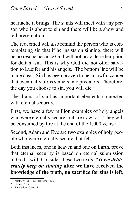heartache it brings. The saints will meet with any person who is about to sin and there will be a show and tell presentation.

The redeemed will also remind the person who is contemplating sin that if he insists on sinning, there will be no rescue because God will not provide redemption for defiant sin. This is why God did not offer salvation to Lucifer and his angels.<sup>1</sup> The bottom line will be made clear: Sin has been proven to be an awful cancer that eventually turns sinners into predators. Therefore, the day you choose to sin, you will die.<sup>2</sup>

The drama of sin has important elements connected with eternal security.

First, we have a few million examples of holy angels who were eternally secure, but are now lost. They will be consumed by fire at the end of the 1,000 years.<sup>3</sup>

Second, Adam and Eve are two examples of holy people who were eternally secure, but fell.

Both instances, one in heaven and one on Earth, prove that eternal security is based on eternal submission to God's will. Consider these two texts: **"***If we deliberately keep on sinning* **after we have received the knowledge of the truth, no sacrifice for sins is left,** 

<sup>1</sup> Matthew 12:31-32; Hebrews 10:26

<sup>2</sup> Genesis 2:17

<sup>3</sup> Revelation 20:10, 15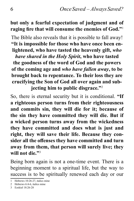#### **but only a fearful expectation of judgment and of raging fire that will consume the enemies of God."**<sup>1</sup>

The Bible also reveals that it is possible to fall away! **"It is impossible for those who have once been enlightened, who have tasted the heavenly gift,** *who have shared in the Holy Spirit***, who have tasted the goodness of the word of God and the powers of the coming age and** *who have fallen away***, to be brought back to repentance. To their loss they are crucifying the Son of God all over again and subjecting him to public disgrace."**<sup>2</sup>

So, there is eternal security but it is conditional. **"If a righteous person turns from their righteousness and commits sin, they will die for it; because of the sin they have committed they will die. But if a wicked person turns away from the wickedness they have committed and does what is just and right, they will save their life. Because they consider all the offenses they have committed and turn away from them, that person will surely live; they will not die."**<sup>3</sup>

Being born again is not a one-time event. There is a beginning moment to a spiritual life, but the way to success is to be spiritually renewed each day or our

<sup>1</sup> Hebrews 10:26-27, italics mine

<sup>2</sup> Hebrews 6:4-6, italics mine

<sup>3</sup> Ezekiel 18:26-28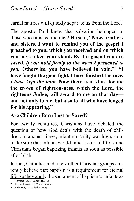carnal natures will quickly separate us from the Lord.<sup>1</sup>

The apostle Paul knew that salvation belonged to those who finished the race! He said, **"Now, brothers and sisters, I want to remind you of the gospel I preached to you, which you received and on which you have taken your stand. By this gospel you are saved,** *if you hold firmly to the word I preached to you***. Otherwise, you have believed in vain."**<sup>2</sup>  **"I have fought the good fight, I have finished the race,**  *I have kept the faith***. Now there is in store for me the crown of righteousness, which the Lord, the righteous Judge, will award to me on that day and not only to me, but also to all who have longed for his appearing."**<sup>3</sup>

#### **Are Children Born Lost or Saved?**

For twenty centuries, Christians have debated the question of how God deals with the death of children. In ancient times, infant mortality was high, so to make sure that infants would inherit eternal life, some Christians began baptizing infants as soon as possible after birth.

In fact, Catholics and a few other Christian groups currently believe that baptism is a requirement for eternal life; so they apply the sacrament of baptism to infants as

<sup>1</sup> Romans 12:2-3; James 1:23-25

<sup>2</sup> 1 Corinthians 15:1-2, italics mine

<sup>3</sup> 2 Timothy 4:7-8, italics mine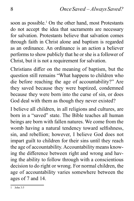soon as possible.<sup>1</sup> On the other hand, most Protestants do not accept the idea that sacraments are necessary for salvation. Protestants believe that salvation comes through faith in Christ alone and baptism is regarded as an ordinance. An ordinance is an action a believer performs to show publicly that he or she is a follower of Christ, but it is not a requirement for salvation.

Christians differ on the meaning of baptism, but the question still remains "What happens to children who die before reaching the age of accountability?" Are they saved because they were baptized, condemned because they were born into the curse of sin, or does God deal with them as though they never existed?

I believe all children, in all religions and cultures, are born in a "saved" state. The Bible teaches all human beings are born with fallen natures. We come from the womb having a natural tendency toward selfishness, sin, and rebellion; however, I believe God does not impart guilt to children for their sins until they reach the age of accountability. Accountability means knowing the difference between right and wrong and having the ability to follow through with a conscientious decision to do right or wrong. For normal children, the age of accountability varies somewhere between the ages of 7 and 14.

 $1$  John  $3.5$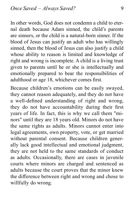In other words, God does not condemn a child to eternal death because Adam sinned, the child's parents are sinners, or the child is a natural-born sinner. If the blood of Jesus can justify an adult who has willingly sinned, then the blood of Jesus can also justify a child whose ability to reason is limited and knowledge of right and wrong is incomplete. A child is a living trust given to parents until he or she is intellectually and emotionally prepared to bear the responsibilities of adulthood or age 18, whichever comes first.

Because children's emotions can be easily swayed, they cannot reason adequately, and they do not have a well-defined understanding of right and wrong, they do not have accountability during their first years of life. In fact, this is why we call them "minors" until they are 18 years old. Minors do not have the same rights as adults. Minors cannot enter into legal agreements, own property, vote, or get married without parental consent. Because children generally lack good intellectual and emotional judgment, they are not held to the same standards of conduct as adults. Occasionally, there are cases in juvenile courts where minors are charged and sentenced as adults because the court proves that the minor knew the difference between right and wrong and chose to willfully do wrong.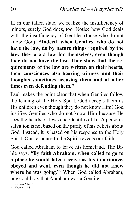If, in our fallen state, we realize the insufficiency of minors, surely God does, too. Notice how God deals with the insufficiency of Gentiles (those who do not know God). **"Indeed, when Gentiles, who do not have the law, do by nature things required by the law, they are a law for themselves, even though they do not have the law. They show that the requirements of the law are written on their hearts, their consciences also bearing witness, and their thoughts sometimes accusing them and at other times even defending them."**<sup>1</sup>

Paul makes the point clear that when Gentiles follow the leading of the Holy Spirit, God accepts them as His children even though they do not know Him! God justifies Gentiles who do not know Him because He sees the hearts of Jews and Gentiles alike. A person's salvation is not based on the purity of his beliefs about God. Instead, it is based on his response to the Holy Spirit. Our response to the Spirit reveals our faith.

God called Abraham to leave his homeland. The Bible says, **"By faith Abraham, when called to go to a place he would later receive as his inheritance, obeyed and went, even though he did not know where he was going."**<sup>2</sup> When God called Abraham, one could say that Abraham was a Gentile!

<sup>1</sup> Romans 2:14-15

<sup>2</sup> Hebrews 11:8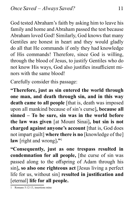God tested Abraham's faith by asking him to leave his family and home and Abraham passed the test because Abraham loved God! Similarly, God knows that many Gentiles are honest in heart and they would gladly do all that He commands if only they had knowledge of His commands! Therefore, since God is willing, through the blood of Jesus, to justify Gentiles who do not know His ways, God also justifies insufficient minors with the same blood!

Carefully consider this passage:

**"Therefore, just as sin entered the world through one man, and death through sin, and in this way death came to all people** [that is, death was imposed upon all mankind because of sin's curse]**, because all sinned – To be sure, sin was in the world before the law was given** [at Mount Sinai]**, but sin is not charged against anyone's account** [that is, God does not impart guilt] **where there is no** [knowledge of the] **law** [right and wrong]**."**<sup>1</sup>

**"Consequently, just as one trespass resulted in condemnation for all people,** [the curse of sin was passed along to the offspring of Adam through his sin]**, so also one righteous act** [Jesus living a perfect life for us, without sin] **resulted in justification and**  [eternal] **life for all people.**

1 Romans 5:12-13, insertions mine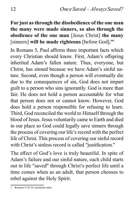#### **For just as through the disobedience of the one man the many were made sinners, so also through the obedience of the one man** [Jesus Christ] **the many**  [sinners] **will be made righteous** [before God]**."**<sup>1</sup>

In Romans 5, Paul affirms three important facts which every Christian should know. First, Adam's offspring inherited Adam's fallen nature. Thus, everyone, but Christ, has sinned because we have Adam's sinful nature. Second, even though a person will eventually die due to the consequences of sin, God does not impart guilt to a person who sins ignorantly. God is more than fair. He does not hold a person accountable for what that person does not or cannot know. However, God does hold a person responsible for refusing to learn. Third, God reconciled the world to Himself through the blood of Jesus. Jesus voluntarily came to Earth and died in our place so God could legally save sinners through the process of covering our life's record with the perfect life of Christ. This process of covering our sinful record with Christ's sinless record is called "justification."

The effect of God's love is truly beautiful. In spite of Adam's failure and our sinful nature, each child starts out in life "saved" through Christ's perfect life until a time comes when as an adult, that person chooses to rebel against the Holy Spirit.

Romans 5:18-19, insertions mine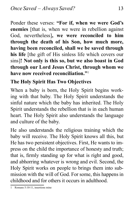Ponder these verses: **"For if, when we were God's enemies** [that is, when we were in rebellion against God, nevertheless]**, we were reconciled to him through the death of his Son, how much more, having been reconciled, shall we be saved through his life** [the gift of His sinless life which covers our sins]**! Not only is this so, but we also boast in God through our Lord Jesus Christ, through whom we have now received reconciliation."**<sup>1</sup>

#### **The Holy Spirit Has Two Objectives**

When a baby is born, the Holy Spirit begins working with that baby. The Holy Spirit understands the sinful nature which the baby has inherited. The Holy Spirit understands the rebellion that is in each human heart. The Holy Spirit also understands the language and culture of the baby.

He also understands the religious training which the baby will receive. The Holy Spirit knows all this, but He has two persistent objectives. First, He wants to impress on the child the importance of honesty and truth; that is, firmly standing up for what is right and good, and abhorring whatever is wrong and evil. Second, the Holy Spirit works on people to brings them into submission with the will of God. For some, this happens in childhood and for others it occurs in adulthood.

1 Romans 5:10-11, insertions mine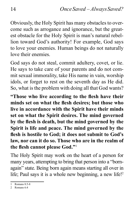Obviously, the Holy Spirit has many obstacles to overcome such as arrogance and ignorance, but the greatest obstacle for the Holy Spirit is man's natural rebellion toward God's authority! For example, God says to love your enemies. Human beings do not naturally love their enemies.

God says do not steal, commit adultery, covet, or lie. He says to take care of your parents and do not commit sexual immorality, take His name in vain, worship idols, or forget to rest on the seventh day as He did. So, what is the problem with doing all that God wants?

**"Those who live according to the flesh have their minds set on what the flesh desires; but those who live in accordance with the Spirit have their minds set on what the Spirit desires. The mind governed by the flesh is death, but the mind governed by the Spirit is life and peace. The mind governed by the flesh is hostile to God; it does not submit to God's law, nor can it do so. Those who are in the realm of the flesh cannot please God."**<sup>1</sup>

The Holy Spirit may work on the heart of a person for many years, attempting to bring that person into a "bornagain" state. Being born again means starting all over in life; Paul says it is a whole new beginning, a new life!<sup>2</sup>

<sup>1</sup> Romans  $8.5 - 8$ 

<sup>2</sup> Romans 6:4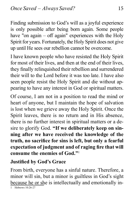Finding submission to God's will as a joyful experience is only possible after being born again. Some people have "on again – off again" experiences with the Holy Spirit for years. Fortunately, the Holy Spirit does not give up until He sees our rebellion cannot be overcome.

I have known people who have resisted the Holy Spirit for most of their lives, and then at the end of their lives, they finally relinquished their rebellion and surrendered their will to the Lord before it was too late. I have also seen people resist the Holy Spirit and die without appearing to have any interest in God or spiritual matters.

Of course, I am not in a position to read the mind or heart of anyone, but I maintain the hope of salvation is lost when we grieve away the Holy Spirit. Once the Spirit leaves, there is no return and in His absence, there is no further interest in spiritual matters or a desire to glorify God. **"If we deliberately keep on sinning after we have received the knowledge of the truth, no sacrifice for sins is left, but only a fearful expectation of judgment and of raging fire that will consume the enemies of God."**<sup>1</sup>

#### **Justified by God's Grace**

From birth, everyone has a sinful nature. Therefore, a minor will sin, but a minor is guiltless in God's sight because he or she is intellectually and emotionally in-

<sup>1</sup> Hebrews 10:26-27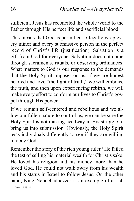sufficient. Jesus has reconciled the whole world to the Father through His perfect life and sacrificial blood.

This means that God is permitted to legally wrap every minor and every submissive person in the perfect record of Christ's life (justification). Salvation is a gift from God for everyone. Salvation does not come through sacraments, rituals, or observing ordinances. What matters to God is our response to the demands that the Holy Spirit imposes on us. If we are honest hearted and love "the light of truth," we will embrace the truth, and then upon experiencing rebirth, we will make every effort to conform our lives to Christ's gospel through His power.

If we remain self-centered and rebellious and we allow our fallen nature to control us, we can be sure the Holy Spirit is not making headway in His struggle to bring us into submission. Obviously, the Holy Spirit tests individuals differently to see if they are willing to obey God.

Remember the story of the rich young ruler.<sup>1</sup> He failed the test of selling his material wealth for Christ's sake. He loved his religion and his money more than he loved God. He could not walk away from his wealth and his status in Israel to follow Jesus. On the other hand, King Nebuchadnezzar is an example of a rich

<sup>1</sup> Luke 18:18-24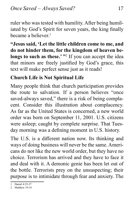ruler who was tested with humility. After being humiliated by God's Spirit for seven years, the king finally became a believer.<sup>1</sup>

**"Jesus said, 'Let the little children come to me, and do not hinder them, for the kingdom of heaven belongs to such as these.' "**<sup>2</sup> If you can accept the idea that minors are freely justified by God's grace, this text will make perfect sense just as it reads!

#### **Church Life is Not Spiritual Life**

Many people think that church participation provides the route to salvation. If a person believes "once saved-always saved," there is a risk of being complacent. Consider this illustration about complacency. As far as the United States is concerned, a new world order was born on September 11, 2001. U.S. citizens were asleep; caught by complete surprise. That Tuesday morning was a defining moment in U.S. history.

The U.S. is a different nation now. Its thinking and ways of doing business will never be the same. Americans do not like the new world order, but they have no choice. Terrorism has arrived and they have to face it and deal with it. A demonic genie has been let out of the bottle. Terrorists prey on the unsuspecting; their purpose is to intimidate through fear and anxiety. The

<sup>1</sup> Daniel 4:35-37

<sup>2</sup> Matthew 19:14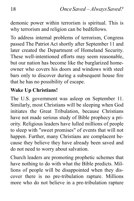demonic power within terrorism is spiritual. This is why terrorism and religion can be bedfellows.

To address internal problems of terrorism, Congress passed The Patriot Act shortly after September 11 and later created the Department of Homeland Security. These well-intentioned efforts may seem reasonable, but our nation has become like the burglarized homeowner who covers his doors and windows with steel bars only to discover during a subsequent house fire that he has no possibility of escape.

#### **Wake Up Christians!**

The U.S. government was asleep on September 11. Similarly, most Christians will be sleeping when God initiates the Great Tribulation, because Christians have not made serious study of Bible prophecy a priority. Religious leaders have lulled millions of people to sleep with "sweet promises" of events that will not happen. Further, many Christians are complacent because they believe they have already been saved and do not need to worry about salvation.

Church leaders are promoting prophetic schemes that have nothing to do with what the Bible predicts. Millions of people will be disappointed when they discover there is no pre-tribulation rapture. Millions more who do not believe in a pre-tribulation rapture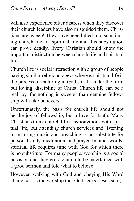will also experience bitter distress when they discover their church leaders have also misguided them. Christians are asleep! They have been lulled into substituting church life for spiritual life and this substitution can prove deadly. Every Christian should know the important distinction between church life and spiritual life.

Church life is social interaction with a group of people having similar religious views whereas spiritual life is the process of maturing in God's truth under the firm, but loving, discipline of Christ. Church life can be a real joy, for nothing is sweeter than genuine fellowship with like believers.

Unfortunately, the basis for church life should not be the joy of fellowship, but a love for truth. Many Christians think church life is synonymous with spiritual life, but attending church services and listening to inspiring music and preaching is no substitute for personal study, meditation, and prayer. In other words, spiritual life requires time with God for which there is no substitute. For many people, worship is a social occasion and they go to church to be entertained with a good sermon and told what to believe.

However, walking with God and obeying His Word at any cost is the worship that God seeks. Jesus said,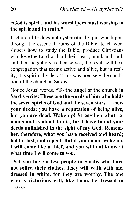#### **"God is spirit, and his worshipers must worship in the spirit and in truth."**<sup>1</sup>

If church life does not systematically put worshipers through the essential truths of the Bible; teach worshipers how to study the Bible; produce Christians who love the Lord with all their heart, mind, and soul, and their neighbors as themselves, the result will be a congregation that seems active and alive, but in reality, it is spiritually dead! This was precisely the condition of the church at Sardis.

Notice Jesus' words, **"To the angel of the church in Sardis write: These are the words of him who holds the seven spirits of God and the seven stars. I know your deeds; you have a reputation of being alive, but you are dead. Wake up! Strengthen what remains and is about to die, for I have found your deeds unfinished in the sight of my God. Remember, therefore, what you have received and heard; hold it fast, and repent. But if you do not wake up, I will come like a thief, and you will not know at what time I will come to you.**

**"Yet you have a few people in Sardis who have not soiled their clothes. They will walk with me, dressed in white, for they are worthy. The one who is victorious will, like them, be dressed in**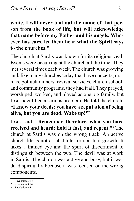**white. I will never blot out the name of that person from the book of life, but will acknowledge that name before my Father and his angels. Whoever has ears, let them hear what the Spirit says to the churches."**<sup>1</sup>

The church at Sardis was known for its religious zeal. Events were occurring at the church all the time. They met several times each week. The church was growing and, like many churches today that have concerts, dramas, potluck dinners, revival services, church school, and community programs, they had it all. They prayed, worshiped, worked, and played as one big family, but Jesus identified a serious problem. He told the church, **"I know your deeds; you have a reputation of being alive, but you are dead. Wake up!"**<sup>2</sup>

Jesus said, **"Remember, therefore, what you have received and heard; hold it fast, and repent."**<sup>3</sup> The church at Sardis was on the wrong track. An active church life is not a substitute for spiritual growth. It takes a trained eye and the spirit of discernment to distinguish between the two. The devil was at work in Sardis. The church was active and busy, but it was dead spiritually because it was focused on the wrong components.

- 2 Revelation 3:1-2
- 3 Revelation 3:3

<sup>1</sup> Revelation 3:1-6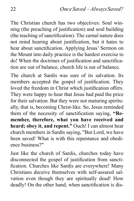The Christian church has two objectives: Soul winning (the preaching of justification) and soul building (the teaching of sanctification). The carnal nature does not mind hearing about justification, but it hates to hear about sanctification. Applying Jesus' Sermon on the Mount into daily practice is the hardest exercise to do! When the doctrines of justification and sanctification are out of balance, church life is out of balance.

The church at Sardis was sure of its salvation. Its members accepted the gospel of justification. They loved the freedom in Christ which justification offers. They were happy to hear that Jesus had paid the price for their salvation. But they were not maturing spiritually, that is, becoming Christ-like. So, Jesus reminded them of the necessity of sanctification saying, **"Remember, therefore, what you have received and heard; obey it, and repent."** Ouch! I can almost hear church members in Sardis saying, "But Lord, we have been saved! What is with this repentance and obedience business?"

Just like the church of Sardis, churches today have disconnected the gospel of justification from sanctification. Churches like Sardis are everywhere! Many Christians deceive themselves with self-assured salvation even though they are spiritually dead! How deadly! On the other hand, when sanctification is dis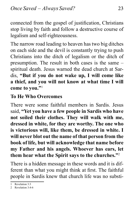connected from the gospel of justification, Christians stop living by faith and follow a destructive course of legalism and self-righteousness.

The narrow road leading to heaven has two big ditches on each side and the devil is constantly trying to push Christians into the ditch of legalism or the ditch of presumption. The result in both cases is the same – spiritual death. Jesus warned the dead church at Sardis, **"But if you do not wake up, I will come like a thief, and you will not know at what time I will come to you."**<sup>1</sup>

#### **To He Who Overcomes**

There were some faithful members in Sardis. Jesus said, **"Yet you have a few people in Sardis who have not soiled their clothes. They will walk with me, dressed in white, for they are worthy. The one who is victorious will, like them, be dressed in white. I will never blot out the name of that person from the book of life, but will acknowledge that name before my Father and his angels. Whoever has ears, let them hear what the Spirit says to the churches."**<sup>2</sup>

There is a hidden message in these words and it is different than what you might think at first. The faithful people in Sardis knew that church life was no substi-

<sup>1</sup> Revelation 3:3

<sup>2</sup> Revelation 3:4-6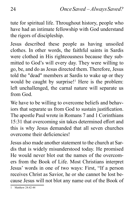tute for spiritual life. Throughout history, people who have had an intimate fellowship with God understand the rigors of discipleship.

Jesus described these people as having unsoiled clothes. In other words, the faithful saints in Sardis were clothed in His righteousness because they submitted to God's will every day. They were willing to go, be, and do as Jesus directed them. Therefore, Jesus told the "dead" members at Sardis to wake up or they would be caught by surprise!<sup>1</sup> Here is the problem: left unchallenged, the carnal nature will separate us from God.

We have to be willing to overcome beliefs and behaviors that separate us from God to sustain justification. The apostle Paul wrote in Romans 7 and 1 Corinthians 15:31 that overcoming sin takes determined effort and this is why Jesus demanded that all seven churches overcome their deficiencies!

Jesus also made another statement to the church at Sardis that is widely misunderstood today. He promised He would never blot out the names of the overcomers from the Book of Life. Most Christians interpret Jesus' words in one of two ways: First, "If a person receives Christ as Savior, he or she cannot be lost because Jesus will not blot any name out of the Book of

<sup>1</sup> Matthew 24:42-44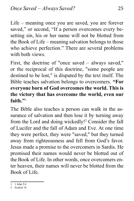Life – meaning once you are saved, you are forever saved," or second, "If a person overcomes every besetting sin, his or her name will not be blotted from the Book of Life – meaning salvation belongs to those who achieve perfection." There are several problems with both views.

First, the doctrine of "once saved – always saved," or the reciprocal of this doctrine, "some people are destined to be lost," is disputed by the text itself. The Bible teaches salvation belongs to overcomers. **"For everyone born of God overcomes the world. This is the victory that has overcome the world, even our**  faith<sup>"1</sup>

The Bible also teaches a person can walk in the assurance of salvation and then lose it by turning away from the Lord and doing wickedly!2 Consider the fall of Lucifer and the fall of Adam and Eve. At one time they were perfect, they were "saved," but they turned away from righteousness and fell from God's favor. Jesus made a promise to the overcomers in Sardis. He promised their names would never be blotted out of the Book of Life. In other words, once overcomers enter heaven, their names will never be blotted from the Book of Life.

<sup>1</sup> 1 John 5:4

<sup>2</sup> Ezekiel 18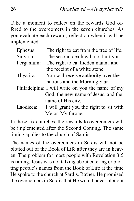Take a moment to reflect on the rewards God offered to the overcomers in the seven churches. As you evaluate each reward, reflect on when it will be implemented.

| Ephesus:  | The right to eat from the tree of life.          |
|-----------|--------------------------------------------------|
| Smyrna:   | The second death will not hurt you.              |
| Pergamum: | The right to eat hidden manna and                |
|           | the receipt of a white stone.                    |
| Thyatira: | You will receive authority over the              |
|           | nations and the Morning Star.                    |
|           | Philadelphia: I will write on you the name of my |
|           | God, the new name of Jesus, and the              |
|           | name of His city.                                |
| Laodicea: | I will grant you the right to sit with           |
|           | Me on My throne.                                 |

In these six churches, the rewards to overcomers will be implemented after the Second Coming. The same timing applies to the church of Sardis.

The names of the overcomers in Sardis will not be blotted out of the Book of Life after they are in heaven. The problem for most people with Revelation 3:5 is timing. Jesus was not talking about entering or blotting people's names from the Book of Life at the time He spoke to the church at Sardis. Rather, He promised the overcomers in Sardis that He would never blot out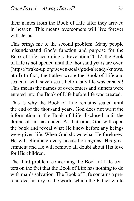their names from the Book of Life after they arrived in heaven. This means overcomers will live forever with Jesus!

This brings me to the second problem. Many people misunderstand God's function and purpose for the Book of Life; according to Revelation 20:12, the Book of Life is not opened until the thousand years are over. (https://wake-up.org/seven-seals/god-already-knows. html) In fact, the Father wrote the Book of Life and sealed it with seven seals before any life was created! This means the names of overcomers and sinners were entered into the Book of Life before life was created.

This is why the Book of Life remains sealed until the end of the thousand years. God does not want the information in the Book of Life disclosed until the drama of sin has ended. At that time, God will open the book and reveal what He knew before any beings were given life. When God shows what He foreknew, He will eliminate every accusation against His government and He will remove all doubt about His love for His children.

The third problem concerning the Book of Life centers on the fact that the Book of Life has nothing to do with man's salvation. The Book of Life contains a prerecorded history of the world which the Father wrote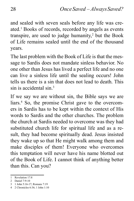and sealed with seven seals before any life was created.1 Books of records, recorded by angels as events transpire, are used to judge humanity, $2$  but the Book of Life remains sealed until the end of the thousand years.

The last problem with the Book of Life is that the message to Sardis does not mandate sinless behavior. No one other than Jesus has lived a perfect life and no one can live a sinless life until the sealing occurs! John tells us there is a sin that does not lead to death. This sin is accidental sin<sup>3</sup>

If we say we are without sin, the Bible says we are liars.4 So, the promise Christ gave to the overcomers in Sardis has to be kept within the context of His words to Sardis and the other churches. The problem the church at Sardis needed to overcome was they had substituted church life for spiritual life and as a result, they had become spiritually dead. Jesus insisted they wake up so that He might walk among them and make disciples of them! Everyone who overcomes this temptation will never have his name blotted out of the Book of Life. I cannot think of anything better than this. Can you?

<sup>1</sup> Revelation 17:8

<sup>2</sup> Daniel 7:9-10

<sup>3</sup> 1 John 5:16-17; Romans 7:19

<sup>4</sup> 2 Chronicles 6:36; 1 John 1:10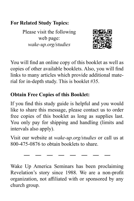#### **For Related Study Topics:**

Please visit the following web page: *wake-up.org/studies*



You will find an online copy of this booklet as well as copies of other available booklets. Also, you will find links to many articles which provide additional material for in-depth study. This is booklet #35.

### **Obtain Free Copies of this Booklet:**

If you find this study guide is helpful and you would like to share this message, please contact us to order free copies of this booklet as long as supplies last. You only pay for shipping and handling (limits and intervals also apply).

Visit our website at *wake-up.org/studies* or call us at 800-475-0876 to obtain booklets to share.

Wake Up America Seminars has been proclaiming Revelation's story since 1988. We are a non-profit organization, not affiliated with or sponsored by any church group.